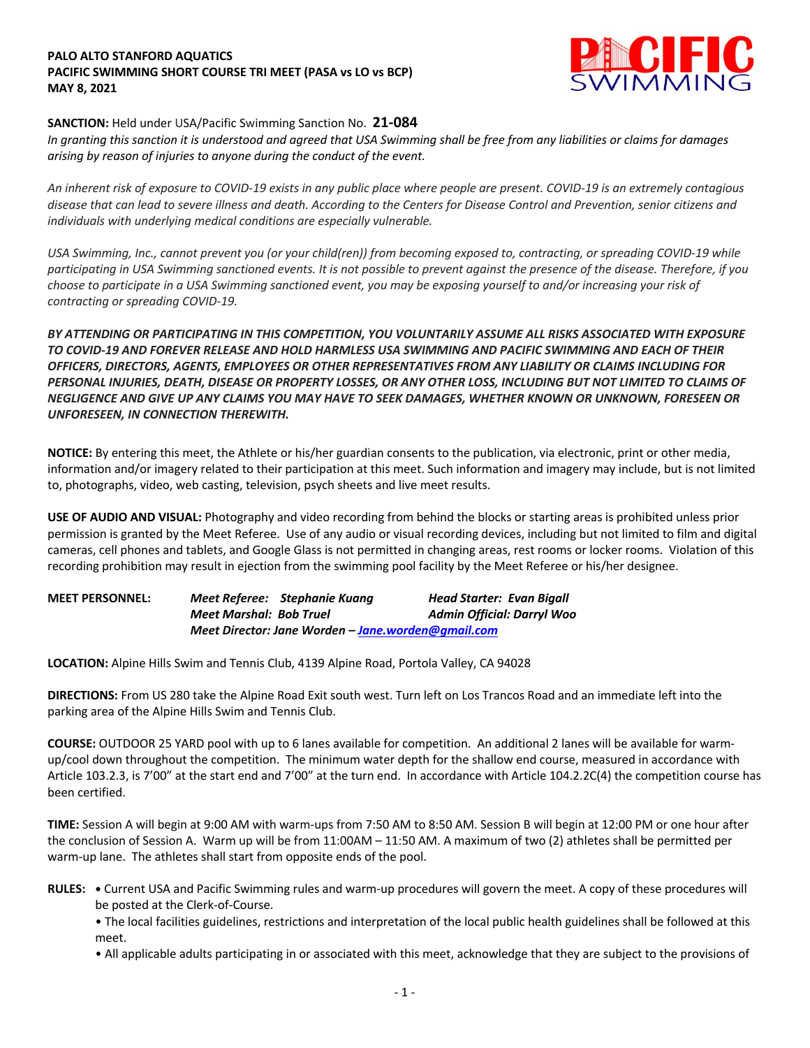## **PALO ALTO STANFORD AQUATICS PACIFIC SWIMMING SHORT COURSE TRI MEET (PASA vs LO vs BCP) MAY 8, 2021**



# **SANCTION:** Held under USA/Pacific Swimming Sanction No. **21-084**

*In granting this sanction it is understood and agreed that USA Swimming shall be free from any liabilities or claims for damages arising by reason of injuries to anyone during the conduct of the event.* 

*An inherent risk of exposure to COVID-19 exists in any public place where people are present. COVID-19 is an extremely contagious disease that can lead to severe illness and death. According to the Centers for Disease Control and Prevention, senior citizens and individuals with underlying medical conditions are especially vulnerable.*

*USA Swimming, Inc., cannot prevent you (or your child(ren)) from becoming exposed to, contracting, or spreading COVID-19 while participating in USA Swimming sanctioned events. It is not possible to prevent against the presence of the disease. Therefore, if you choose to participate in a USA Swimming sanctioned event, you may be exposing yourself to and/or increasing your risk of contracting or spreading COVID-19.*

*BY ATTENDING OR PARTICIPATING IN THIS COMPETITION, YOU VOLUNTARILY ASSUME ALL RISKS ASSOCIATED WITH EXPOSURE TO COVID-19 AND FOREVER RELEASE AND HOLD HARMLESS USA SWIMMING AND PACIFIC SWIMMING AND EACH OF THEIR OFFICERS, DIRECTORS, AGENTS, EMPLOYEES OR OTHER REPRESENTATIVES FROM ANY LIABILITY OR CLAIMS INCLUDING FOR PERSONAL INJURIES, DEATH, DISEASE OR PROPERTY LOSSES, OR ANY OTHER LOSS, INCLUDING BUT NOT LIMITED TO CLAIMS OF NEGLIGENCE AND GIVE UP ANY CLAIMS YOU MAY HAVE TO SEEK DAMAGES, WHETHER KNOWN OR UNKNOWN, FORESEEN OR UNFORESEEN, IN CONNECTION THEREWITH.*

**NOTICE:** By entering this meet, the Athlete or his/her guardian consents to the publication, via electronic, print or other media, information and/or imagery related to their participation at this meet. Such information and imagery may include, but is not limited to, photographs, video, web casting, television, psych sheets and live meet results.

**USE OF AUDIO AND VISUAL:** Photography and video recording from behind the blocks or starting areas is prohibited unless prior permission is granted by the Meet Referee. Use of any audio or visual recording devices, including but not limited to film and digital cameras, cell phones and tablets, and Google Glass is not permitted in changing areas, rest rooms or locker rooms. Violation of this recording prohibition may result in ejection from the swimming pool facility by the Meet Referee or his/her designee.

| <b>MEET PERSONNEL:</b> |                                                     | Meet Referee: Stephanie Kuang | Head Starter: Evan Bigall         |  |  |
|------------------------|-----------------------------------------------------|-------------------------------|-----------------------------------|--|--|
|                        | <b>Meet Marshal: Bob Truel</b>                      |                               | <b>Admin Official: Darryl Woo</b> |  |  |
|                        | Meet Director: Jane Worden – Jane, worden@amail.com |                               |                                   |  |  |

**LOCATION:** Alpine Hills Swim and Tennis Club, 4139 Alpine Road, Portola Valley, CA 94028

**DIRECTIONS:** From US 280 take the Alpine Road Exit south west. Turn left on Los Trancos Road and an immediate left into the parking area of the Alpine Hills Swim and Tennis Club.

**COURSE:** OUTDOOR 25 YARD pool with up to 6 lanes available for competition. An additional 2 lanes will be available for warmup/cool down throughout the competition. The minimum water depth for the shallow end course, measured in accordance with Article 103.2.3, is 7'00" at the start end and 7'00" at the turn end. In accordance with Article 104.2.2C(4) the competition course has been certified.

**TIME:** Session A will begin at 9:00 AM with warm-ups from 7:50 AM to 8:50 AM. Session B will begin at 12:00 PM or one hour after the conclusion of Session A. Warm up will be from 11:00AM – 11:50 AM. A maximum of two (2) athletes shall be permitted per warm-up lane. The athletes shall start from opposite ends of the pool.

**RULES: •** Current USA and Pacific Swimming rules and warm-up procedures will govern the meet. A copy of these procedures will be posted at the Clerk-of-Course.

• The local facilities guidelines, restrictions and interpretation of the local public health guidelines shall be followed at this meet.

• All applicable adults participating in or associated with this meet, acknowledge that they are subject to the provisions of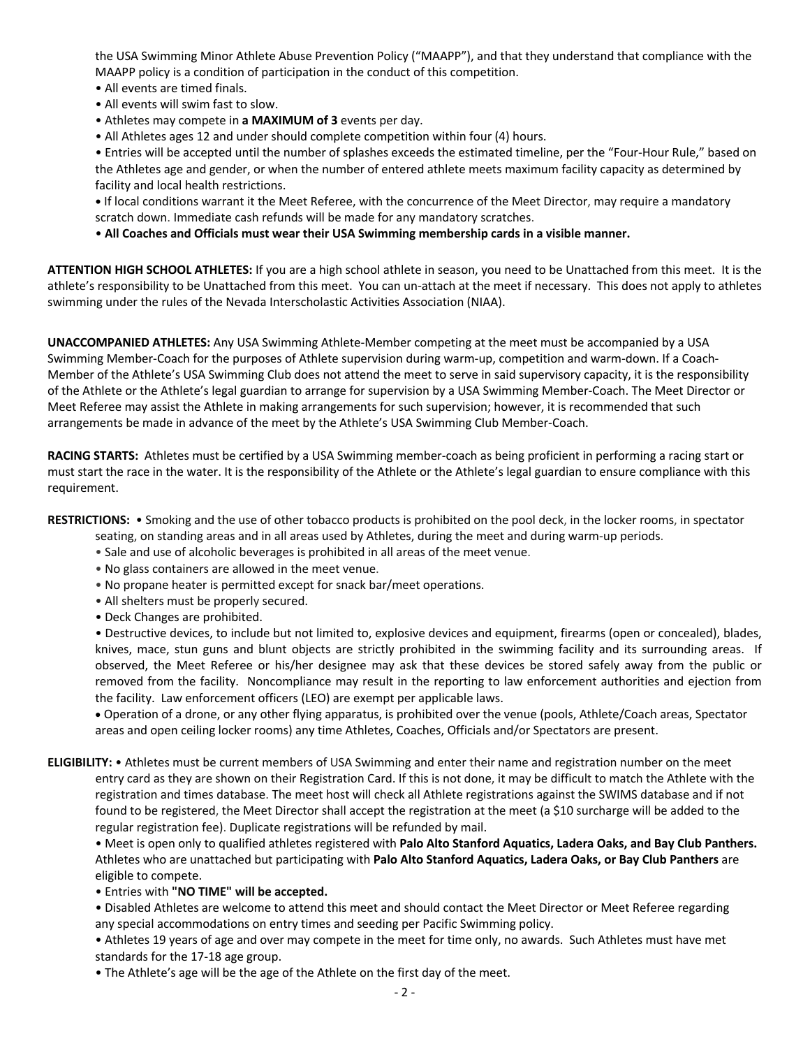the USA Swimming Minor Athlete Abuse Prevention Policy ("MAAPP"), and that they understand that compliance with the MAAPP policy is a condition of participation in the conduct of this competition.

- All events are timed finals.
- All events will swim fast to slow.
- Athletes may compete in **a MAXIMUM of 3** events per day.
- All Athletes ages 12 and under should complete competition within four (4) hours.

• Entries will be accepted until the number of splashes exceeds the estimated timeline, per the "Four-Hour Rule," based on the Athletes age and gender, or when the number of entered athlete meets maximum facility capacity as determined by facility and local health restrictions.

**•** If local conditions warrant it the Meet Referee, with the concurrence of the Meet Director, may require a mandatory scratch down. Immediate cash refunds will be made for any mandatory scratches.

• **All Coaches and Officials must wear their USA Swimming membership cards in a visible manner.** 

**ATTENTION HIGH SCHOOL ATHLETES:** If you are a high school athlete in season, you need to be Unattached from this meet. It is the athlete's responsibility to be Unattached from this meet. You can un-attach at the meet if necessary. This does not apply to athletes swimming under the rules of the Nevada Interscholastic Activities Association (NIAA).

**UNACCOMPANIED ATHLETES:** Any USA Swimming Athlete-Member competing at the meet must be accompanied by a USA Swimming Member-Coach for the purposes of Athlete supervision during warm-up, competition and warm-down. If a Coach-Member of the Athlete's USA Swimming Club does not attend the meet to serve in said supervisory capacity, it is the responsibility of the Athlete or the Athlete's legal guardian to arrange for supervision by a USA Swimming Member-Coach. The Meet Director or Meet Referee may assist the Athlete in making arrangements for such supervision; however, it is recommended that such arrangements be made in advance of the meet by the Athlete's USA Swimming Club Member-Coach.

**RACING STARTS:** Athletes must be certified by a USA Swimming member-coach as being proficient in performing a racing start or must start the race in the water. It is the responsibility of the Athlete or the Athlete's legal guardian to ensure compliance with this requirement.

**RESTRICTIONS:** • Smoking and the use of other tobacco products is prohibited on the pool deck, in the locker rooms, in spectator

- seating, on standing areas and in all areas used by Athletes, during the meet and during warm-up periods.
- Sale and use of alcoholic beverages is prohibited in all areas of the meet venue.
- No glass containers are allowed in the meet venue.
- No propane heater is permitted except for snack bar/meet operations.
- All shelters must be properly secured.
- Deck Changes are prohibited.

• Destructive devices, to include but not limited to, explosive devices and equipment, firearms (open or concealed), blades, knives, mace, stun guns and blunt objects are strictly prohibited in the swimming facility and its surrounding areas. If observed, the Meet Referee or his/her designee may ask that these devices be stored safely away from the public or removed from the facility. Noncompliance may result in the reporting to law enforcement authorities and ejection from the facility. Law enforcement officers (LEO) are exempt per applicable laws.

• Operation of a drone, or any other flying apparatus, is prohibited over the venue (pools, Athlete/Coach areas, Spectator areas and open ceiling locker rooms) any time Athletes, Coaches, Officials and/or Spectators are present.

**ELIGIBILITY:** • Athletes must be current members of USA Swimming and enter their name and registration number on the meet entry card as they are shown on their Registration Card. If this is not done, it may be difficult to match the Athlete with the registration and times database. The meet host will check all Athlete registrations against the SWIMS database and if not found to be registered, the Meet Director shall accept the registration at the meet (a \$10 surcharge will be added to the regular registration fee). Duplicate registrations will be refunded by mail.

• Meet is open only to qualified athletes registered with **Palo Alto Stanford Aquatics, Ladera Oaks, and Bay Club Panthers.**  Athletes who are unattached but participating with **Palo Alto Stanford Aquatics, Ladera Oaks, or Bay Club Panthers** are eligible to compete.

- Entries with **"NO TIME" will be accepted.**
- Disabled Athletes are welcome to attend this meet and should contact the Meet Director or Meet Referee regarding any special accommodations on entry times and seeding per Pacific Swimming policy.
- Athletes 19 years of age and over may compete in the meet for time only, no awards. Such Athletes must have met standards for the 17-18 age group.
- The Athlete's age will be the age of the Athlete on the first day of the meet.